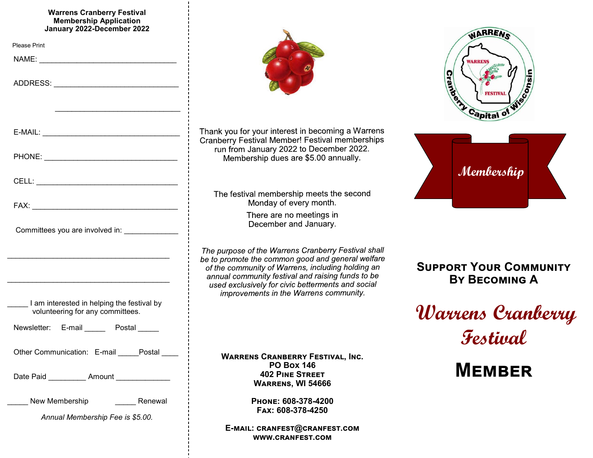#### **Warrens Cranberry Festival Membership Application January 2022-December 2022**

| January 2022-December 2022                                                                                            |
|-----------------------------------------------------------------------------------------------------------------------|
| <b>Please Print</b>                                                                                                   |
|                                                                                                                       |
|                                                                                                                       |
| <u> 1990 - Paris Alexandri, poeta estadounidense en la provincia de la provincia de la provincia de la provincia </u> |
|                                                                                                                       |
|                                                                                                                       |
|                                                                                                                       |
|                                                                                                                       |
| Committees you are involved in: ______________                                                                        |
|                                                                                                                       |
| I am interested in helping the festival by<br>volunteering for any committees.                                        |
| Newsletter: E-mail Postal                                                                                             |
| Other Communication: E-mail Postal                                                                                    |
| Date Paid ___________ Amount ______________                                                                           |
| New Membership<br>Renewal                                                                                             |
| Annual Membership Fee is \$5.00.                                                                                      |
|                                                                                                                       |



Thank you for your interest in becoming a Warrens Cranberry Festival Member! Festival memberships run from January 2022 to December 2022. Membership dues are \$5.00 annually.

The festival membership meets the second Monday of every month.

> There are no meetings in December and January.

The purpose of the Warrens Cranberry Festival shall be to promote the common good and general welfare of the community of Warrens, including holding an annual community festival and raising funds to be used exclusively for civic betterments and social improvements in the Warrens community.

> **Warrens Cranberry Festival, Inc. PO Box 146 402 Pine Street Warrens, WI 54666**

> > **Phone: 608-378-4200 Fax: 608-378-4250**

**E-mail: cranfest@cranfest.com www.cranfest.com**





**Support Your Community By Becoming A**

**Warrens Cranberry Festival**

**Member**